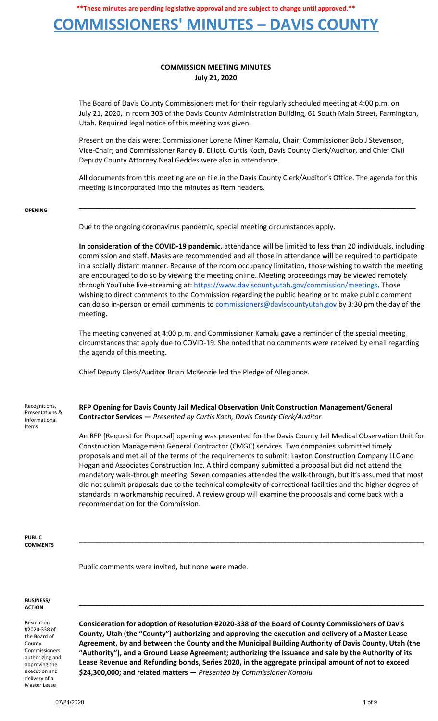### **COMMISSIONERS' MINUTES – DAVIS COUNTY**

### **COMMISSION MEETING MINUTES July 21, 2020**

The Board of Davis County Commissioners met for their regularly scheduled meeting at 4:00 p.m. on July 21, 2020, in room 303 of the Davis County Administration Building, 61 South Main Street, Farmington, Utah. Required legal notice of this meeting was given.

Present on the dais were: Commissioner Lorene Miner Kamalu, Chair; Commissioner Bob J Stevenson, Vice-Chair; and Commissioner Randy B. Elliott. Curtis Koch, Davis County Clerk/Auditor, and Chief Civil Deputy County Attorney Neal Geddes were also in attendance.

All documents from this meeting are on file in the Davis County Clerk/Auditor's Office. The agenda for this meeting is incorporated into the minutes as item headers.

**\_\_\_\_\_\_\_\_\_\_\_\_\_\_\_\_\_\_\_\_\_\_\_\_\_\_\_\_\_\_\_\_\_\_\_\_\_\_\_\_\_\_\_\_\_\_\_\_\_\_\_\_\_\_\_\_\_\_\_\_\_\_\_\_\_\_\_\_\_\_\_\_\_\_\_\_\_\_\_\_\_\_\_\_\_\_**

#### **OPENING**

Due to the ongoing coronavirus pandemic, special meeting circumstances apply.

**In consideration of the COVID-19 pandemic,** attendance will be limited to less than 20 individuals, including commission and staff. Masks are recommended and all those in attendance will be required to participate in a socially distant manner. Because of the room occupancy limitation, those wishing to watch the meeting are encouraged to do so by viewing the meeting online. Meeting proceedings may be viewed remotely through YouTube live-streaming at: [https://www.daviscountyutah.gov/commission/meetings.](https://www.daviscountyutah.gov/commission/meetings) Those wishing to direct comments to the Commission regarding the public hearing or to make public comment can do so in-person or email comments to [commissioners@daviscountyutah.gov](mailto:commissioners@daviscountyutah.gov) by 3:30 pm the day of the meeting.

The meeting convened at 4:00 p.m. and Commissioner Kamalu gave a reminder of the special meeting circumstances that apply due to COVID-19. She noted that no comments were received by email regarding the agenda of this meeting.

Chief Deputy Clerk/Auditor Brian McKenzie led the Pledge of Allegiance.

Recognitions, Presentations & Informational Items

**RFP Opening for Davis County Jail Medical Observation Unit Construction Management/General Contractor Services —** *Presented by Curtis Koch, Davis County Clerk/Auditor*

An RFP [Request for Proposal] opening was presented for the Davis County Jail Medical Observation Unit for Construction Management General Contractor (CMGC) services. Two companies submitted timely proposals and met all of the terms of the requirements to submit: Layton Construction Company LLC and Hogan and Associates Construction Inc. A third company submitted a proposal but did not attend the mandatory walk-through meeting. Seven companies attended the walk-through, but it's assumed that most did not submit proposals due to the technical complexity of correctional facilities and the higher degree of standards in workmanship required. A review group will examine the proposals and come back with a recommendation for the Commission.

**\_\_\_\_\_\_\_\_\_\_\_\_\_\_\_\_\_\_\_\_\_\_\_\_\_\_\_\_\_\_\_\_\_\_\_\_\_\_\_\_\_\_\_\_\_\_\_\_\_\_\_\_\_\_\_\_\_\_\_\_\_\_\_\_\_\_\_\_\_\_\_\_\_\_\_\_\_\_\_\_\_\_\_\_\_\_\_\_**

**PUBLIC COMMENTS**

Public comments were invited, but none were made.

#### **BUSINESS/ ACTION**

Resolution #2020-338 of the Board of County Commissioners authorizing and approving the execution and delivery of a Master Lease

**Consideration for adoption of Resolution #2020-338 of the Board of County Commissioners of Davis County, Utah (the "County") authorizing and approving the execution and delivery of a Master Lease Agreement, by and between the County and the Municipal Building Authority of Davis County, Utah (the "Authority"), and a Ground Lease Agreement; authorizing the issuance and sale by the Authority of its Lease Revenue and Refunding bonds, Series 2020, in the aggregate principal amount of not to exceed \$24,300,000; and related matters** — *Presented by Commissioner Kamalu*

**\_\_\_\_\_\_\_\_\_\_\_\_\_\_\_\_\_\_\_\_\_\_\_\_\_\_\_\_\_\_\_\_\_\_\_\_\_\_\_\_\_\_\_\_\_\_\_\_\_\_\_\_\_\_\_\_\_\_\_\_\_\_\_\_\_\_\_\_\_\_\_\_\_\_\_\_\_\_\_\_\_\_\_\_\_\_\_\_**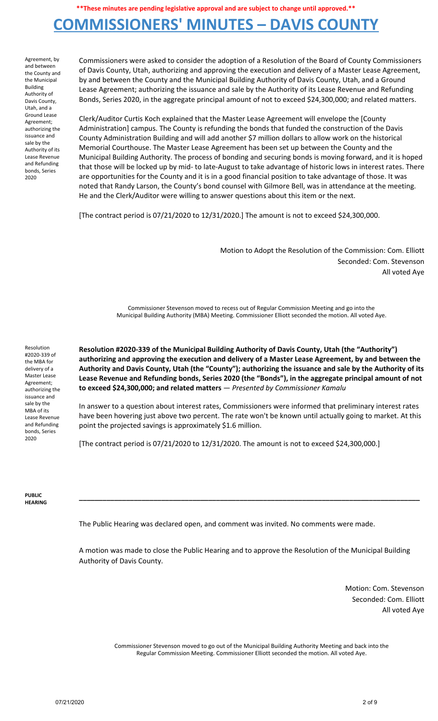### **COMMISSIONERS' MINUTES – DAVIS COUNTY**

Agreement, by and between the County and the Municipal Building Authority of Davis County, Utah, and a Ground Lease Agreement; authorizing the issuance and sale by the Authority of its Lease Revenue and Refunding bonds, Series 2020

Commissioners were asked to consider the adoption of a Resolution of the Board of County Commissioners of Davis County, Utah, authorizing and approving the execution and delivery of a Master Lease Agreement, by and between the County and the Municipal Building Authority of Davis County, Utah, and a Ground Lease Agreement; authorizing the issuance and sale by the Authority of its Lease Revenue and Refunding Bonds, Series 2020, in the aggregate principal amount of not to exceed \$24,300,000; and related matters.

Clerk/Auditor Curtis Koch explained that the Master Lease Agreement will envelope the [County Administration] campus. The County is refunding the bonds that funded the construction of the Davis County Administration Building and will add another \$7 million dollars to allow work on the historical Memorial Courthouse. The Master Lease Agreement has been set up between the County and the Municipal Building Authority. The process of bonding and securing bonds is moving forward, and it is hoped that those will be locked up by mid- to late-August to take advantage of historic lows in interest rates. There are opportunities for the County and it is in a good financial position to take advantage of those. It was noted that Randy Larson, the County's bond counsel with Gilmore Bell, was in attendance at the meeting. He and the Clerk/Auditor were willing to answer questions about this item or the next.

[The contract period is 07/21/2020 to 12/31/2020.] The amount is not to exceed \$24,300,000.

Motion to Adopt the Resolution of the Commission: Com. Elliott Seconded: Com. Stevenson All voted Aye

Commissioner Stevenson moved to recess out of Regular Commission Meeting and go into the Municipal Building Authority (MBA) Meeting. Commissioner Elliott seconded the motion. All voted Aye.

Resolution #2020-339 of the MBA for delivery of a Master Lease Agreement; authorizing the issuance and sale by the MBA of its Lease Revenue and Refunding bonds, Series 2020

**Resolution #2020-339 of the Municipal Building Authority of Davis County, Utah (the "Authority") authorizing and approving the execution and delivery of a Master Lease Agreement, by and between the** Authority and Davis County, Utah (the "County"); authorizing the issuance and sale by the Authority of its **Lease Revenue and Refunding bonds, Series 2020 (the "Bonds"), in the aggregate principal amount of not to exceed \$24,300,000; and related matters** — *Presented by Commissioner Kamalu*

In answer to a question about interest rates, Commissioners were informed that preliminary interest rates have been hovering just above two percent. The rate won't be known until actually going to market. At this point the projected savings is approximately \$1.6 million.

[The contract period is 07/21/2020 to 12/31/2020. The amount is not to exceed \$24,300,000.]

**PUBLIC HEARING**

The Public Hearing was declared open, and comment was invited. No comments were made.

A motion was made to close the Public Hearing and to approve the Resolution of the Municipal Building Authority of Davis County.

**\_\_\_\_\_\_\_\_\_\_\_\_\_\_\_\_\_\_\_\_\_\_\_\_\_\_\_\_\_\_\_\_\_\_\_\_\_\_\_\_\_\_\_\_\_\_\_\_\_\_\_\_\_\_\_\_\_\_\_\_\_\_\_\_\_\_\_\_\_\_\_\_\_\_\_\_\_\_\_\_\_\_\_\_\_\_\_**

Motion: Com. Stevenson Seconded: Com. Elliott All voted Aye

Commissioner Stevenson moved to go out of the Municipal Building Authority Meeting and back into the Regular Commission Meeting. Commissioner Elliott seconded the motion. All voted Aye.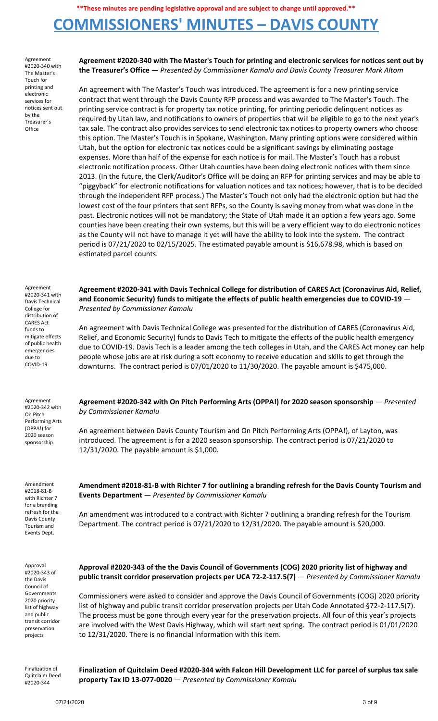# **COMMISSIONERS' MINUTES – DAVIS COUNTY**

Agreement #2020-340 with The Master's Touch for printing and electronic services for notices sent out by the Treasurer's **Office** 

**Agreement #2020-340 with The Master's Touch for printing and electronic services for notices sent out by the Treasurer's Office** — *Presented by Commissioner Kamalu and Davis County Treasurer Mark Altom*

An agreement with The Master's Touch was introduced. The agreement is for a new printing service contract that went through the Davis County RFP process and was awarded to The Master's Touch. The printing service contract is for property tax notice printing, for printing periodic delinquent notices as required by Utah law, and notifications to owners of properties that will be eligible to go to the next year's tax sale. The contract also provides services to send electronic tax notices to property owners who choose this option. The Master's Touch is in Spokane, Washington. Many printing options were considered within Utah, but the option for electronic tax notices could be a significant savings by eliminating postage expenses. More than half of the expense for each notice is for mail. The Master's Touch has a robust electronic notification process. Other Utah counties have been doing electronic notices with them since 2013. (In the future, the Clerk/Auditor's Office will be doing an RFP for printing services and may be able to "piggyback" for electronic notifications for valuation notices and tax notices; however, that is to be decided through the independent RFP process.) The Master's Touch not only had the electronic option but had the lowest cost of the four printers that sent RFPs, so the County is saving money from what was done in the past. Electronic notices will not be mandatory; the State of Utah made it an option a few years ago. Some counties have been creating their own systems, but this will be a very efficient way to do electronic notices as the County will not have to manage it yet will have the ability to look into the system. The contract period is 07/21/2020 to 02/15/2025. The estimated payable amount is \$16,678.98, which is based on estimated parcel counts.

**Agreement #2020-341 with Davis Technical College for distribution of CARES Act (Coronavirus Aid, Relief, and Economic Security) funds to mitigate the effects of public health emergencies due to COVID-19** —

An agreement with Davis Technical College was presented for the distribution of CARES (Coronavirus Aid, Relief, and Economic Security) funds to Davis Tech to mitigate the effects of the public health emergency due to COVID-19. Davis Tech is a leader among the tech colleges in Utah, and the CARES Act money can help people whose jobs are at risk during a soft economy to receive education and skills to get through the downturns. The contract period is 07/01/2020 to 11/30/2020. The payable amount is \$475,000.

Agreement #2020-341 with Davis Technical College for distribution of CARES Act funds to mitigate effects of public health emergencies due to COVID-19

*Presented by Commissioner Kamalu*

Agreement #2020-342 with On Pitch Performing Arts (OPPA!) for 2020 season sponsorship

Amendment #2018-81-B with Richter 7 for a branding refresh for the Davis County Tourism and Events Dept.

**Agreement #2020-342 with On Pitch Performing Arts (OPPA!) for 2020 season sponsorship** — *Presented by Commissioner Kamalu*

An agreement between Davis County Tourism and On Pitch Performing Arts (OPPA!), of Layton, was introduced. The agreement is for a 2020 season sponsorship. The contract period is 07/21/2020 to 12/31/2020. The payable amount is \$1,000.

**Amendment #2018-81-B with Richter 7 for outlining a branding refresh for the Davis County Tourism and Events Department** — *Presented by Commissioner Kamalu*

An amendment was introduced to a contract with Richter 7 outlining a branding refresh for the Tourism Department. The contract period is 07/21/2020 to 12/31/2020. The payable amount is \$20,000.

Approval #2020-343 of the Davis Council of Governments 2020 priority list of highway and public transit corridor preservation projects

**Approval #2020-343 of the the Davis Council of Governments (COG) 2020 priority list of highway and public transit corridor preservation projects per UCA 72-2-117.5(7)** — *Presented by Commissioner Kamalu*

Commissioners were asked to consider and approve the Davis Council of Governments (COG) 2020 priority list of highway and public transit corridor preservation projects per Utah Code Annotated §72-2-117.5(7). The process must be gone through every year for the preservation projects. All four of this year's projects are involved with the West Davis Highway, which will start next spring. The contract period is 01/01/2020 to 12/31/2020. There is no financial information with this item.

Finalization of Quitclaim Deed #2020-344

**Finalization of Quitclaim Deed #2020-344 with Falcon Hill Development LLC for parcel of surplus tax sale property Tax ID 13-077-0020** — *Presented by Commissioner Kamalu*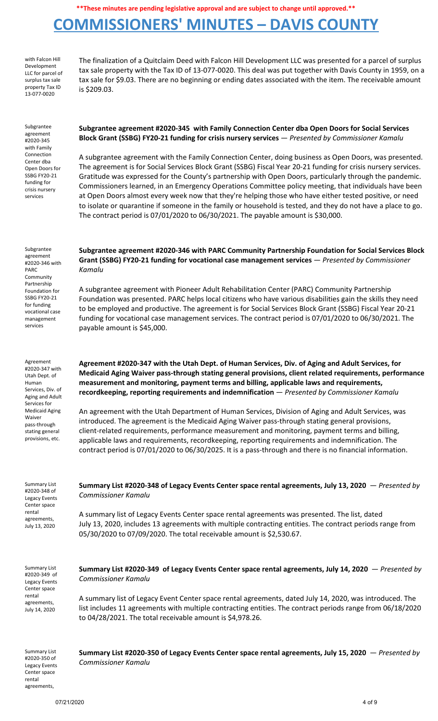## **COMMISSIONERS' MINUTES – DAVIS COUNTY**

with Falcon Hill Development LLC for parcel of surplus tax sale property Tax ID 13-077-0020

The finalization of a Quitclaim Deed with Falcon Hill Development LLC was presented for a parcel of surplus tax sale property with the Tax ID of 13-077-0020. This deal was put together with Davis County in 1959, on a tax sale for \$9.03. There are no beginning or ending dates associated with the item. The receivable amount is \$209.03.

Subgrantee agreement #2020-345 with Family Connection Center dba Open Doors for SSBG FY20-21 funding for crisis nursery services

**Subgrantee agreement #2020-345 with Family Connection Center dba Open Doors for Social Services Block Grant (SSBG) FY20-21 funding for crisis nursery services** — *Presented by Commissioner Kamalu*

A subgrantee agreement with the Family Connection Center, doing business as Open Doors, was presented. The agreement is for Social Services Block Grant (SSBG) Fiscal Year 20-21 funding for crisis nursery services. Gratitude was expressed for the County's partnership with Open Doors, particularly through the pandemic. Commissioners learned, in an Emergency Operations Committee policy meeting, that individuals have been at Open Doors almost every week now that they're helping those who have either tested positive, or need to isolate or quarantine if someone in the family or household is tested, and they do not have a place to go. The contract period is 07/01/2020 to 06/30/2021. The payable amount is \$30,000.

Subgrantee agreement #2020-346 with PARC Community Partnership Foundation for SSBG FY20-21 for funding vocational case management services

Agreement #2020-347 with Utah Dept. of Human Services, Div. of Aging and Adult Services for Medicaid Aging Waiver pass-through stating general provisions, etc.

**Subgrantee agreement #2020-346 with PARC Community Partnership Foundation for Social Services Block Grant (SSBG) FY20-21 funding for vocational case management services** — *Presented by Commissioner Kamalu*

A subgrantee agreement with Pioneer Adult Rehabilitation Center (PARC) Community Partnership Foundation was presented. PARC helps local citizens who have various disabilities gain the skills they need to be employed and productive. The agreement is for Social Services Block Grant (SSBG) Fiscal Year 20-21 funding for vocational case management services. The contract period is 07/01/2020 to 06/30/2021. The payable amount is \$45,000.

**Agreement #2020-347 with the Utah Dept. of Human Services, Div. of Aging and Adult Services, for Medicaid Aging Waiver pass-through stating general provisions, client related requirements, performance measurement and monitoring, payment terms and billing, applicable laws and requirements, recordkeeping, reporting requirements and indemnification** — *Presented by Commissioner Kamalu*

An agreement with the Utah Department of Human Services, Division of Aging and Adult Services, was introduced. The agreement is the Medicaid Aging Waiver pass-through stating general provisions, client-related requirements, performance measurement and monitoring, payment terms and billing, applicable laws and requirements, recordkeeping, reporting requirements and indemnification. The contract period is 07/01/2020 to 06/30/2025. It is a pass-through and there is no financial information.

Summary List #2020-348 of Legacy Events Center space rental agreements, July 13, 2020

**Summary List #2020-348 of Legacy Events Center space rental agreements, July 13, 2020** — *Presented by Commissioner Kamalu*

A summary list of Legacy Events Center space rental agreements was presented. The list, dated July 13, 2020, includes 13 agreements with multiple contracting entities. The contract periods range from 05/30/2020 to 07/09/2020. The total receivable amount is \$2,530.67.

Summary List #2020-349 of Legacy Events Center space rental agreements, July 14, 2020

**Summary List #2020-349 of Legacy Events Center space rental agreements, July 14, 2020** — *Presented by Commissioner Kamalu*

A summary list of Legacy Event Center space rental agreements, dated July 14, 2020, was introduced. The list includes 11 agreements with multiple contracting entities. The contract periods range from 06/18/2020 to 04/28/2021. The total receivable amount is \$4,978.26.

Summary List #2020-350 of Legacy Events Center space rental agreements,

**Summary List #2020-350 of Legacy Events Center space rental agreements, July 15, 2020** — *Presented by Commissioner Kamalu*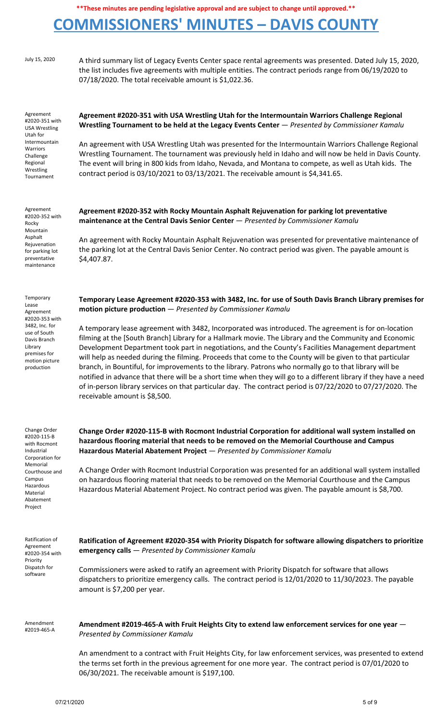# **COMMISSIONERS' MINUTES – DAVIS COUNTY**

July 15, 2020 A third summary list of Legacy Events Center space rental agreements was presented. Dated July 15, 2020, the list includes five agreements with multiple entities. The contract periods range from 06/19/2020 to 07/18/2020. The total receivable amount is \$1,022.36.

Agreement #2020-351 with USA Wrestling Utah for Intermountain Warriors Challenge Regional Wrestling Tournament

Agreement #2020-352 with Rocky Mountain Asphalt Rejuvenation for parking lot preventative maintenance

Temporary Lease Agreement #2020-353 with 3482, Inc. for use of South Davis Branch Library premises for motion picture production

Change Order #2020-115-B with Rocmont Industrial Corporation for Memorial Courthouse and Campus Hazardous Material Abatement Project

**Agreement #2020-351 with USA Wrestling Utah for the Intermountain Warriors Challenge Regional Wrestling Tournament to be held at the Legacy Events Center** — *Presented by Commissioner Kamalu*

An agreement with USA Wrestling Utah was presented for the Intermountain Warriors Challenge Regional Wrestling Tournament. The tournament was previously held in Idaho and will now be held in Davis County. The event will bring in 800 kids from Idaho, Nevada, and Montana to compete, as well as Utah kids. The contract period is 03/10/2021 to 03/13/2021. The receivable amount is \$4,341.65.

**Agreement #2020-352 with Rocky Mountain Asphalt Rejuvenation for parking lot preventative maintenance at the Central Davis Senior Center** — *Presented by Commissioner Kamalu*

An agreement with Rocky Mountain Asphalt Rejuvenation was presented for preventative maintenance of the parking lot at the Central Davis Senior Center. No contract period was given. The payable amount is \$4,407.87.

**Temporary Lease Agreement #2020-353 with 3482, Inc. for use of South Davis Branch Library premises for motion picture production** — *Presented by Commissioner Kamalu*

A temporary lease agreement with 3482, Incorporated was introduced. The agreement is for on-location filming at the [South Branch] Library for a Hallmark movie. The Library and the Community and Economic Development Department took part in negotiations, and the County's Facilities Management department will help as needed during the filming. Proceeds that come to the County will be given to that particular branch, in Bountiful, for improvements to the library. Patrons who normally go to that library will be notified in advance that there will be a short time when they will go to a different library if they have a need of in-person library services on that particular day. The contract period is 07/22/2020 to 07/27/2020. The receivable amount is \$8,500.

**Change Order #2020-115-B with Rocmont Industrial Corporation for additional wall system installed on hazardous flooring material that needs to be removed on the Memorial Courthouse and Campus Hazardous Material Abatement Project** — *Presented by Commissioner Kamalu*

A Change Order with Rocmont Industrial Corporation was presented for an additional wall system installed on hazardous flooring material that needs to be removed on the Memorial Courthouse and the Campus Hazardous Material Abatement Project. No contract period was given. The payable amount is \$8,700.

Ratification of Agreement #2020-354 with Priority Dispatch for software

**Ratification of Agreement #2020-354 with Priority Dispatch for software allowing dispatchers to prioritize emergency calls** — *Presented by Commissioner Kamalu*

Commissioners were asked to ratify an agreement with Priority Dispatch for software that allows dispatchers to prioritize emergency calls. The contract period is 12/01/2020 to 11/30/2023. The payable amount is \$7,200 per year.

Amendment #2019-465-A **Amendment #2019-465-A with Fruit Heights City to extend law enforcement services for one year** — *Presented by Commissioner Kamalu*

An amendment to a contract with Fruit Heights City, for law enforcement services, was presented to extend the terms set forth in the previous agreement for one more year. The contract period is 07/01/2020 to 06/30/2021. The receivable amount is \$197,100.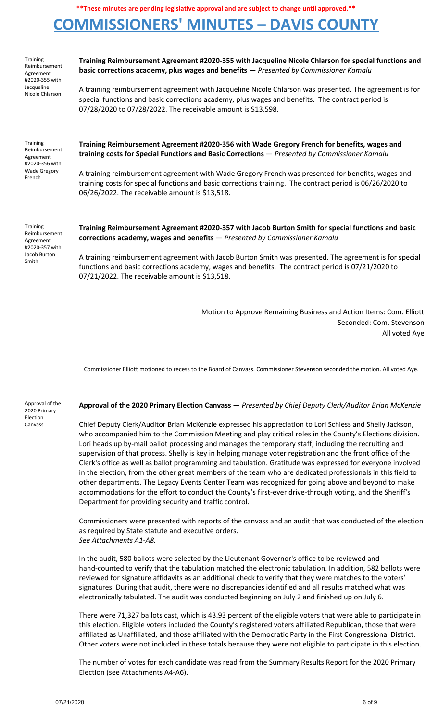# **COMMISSIONERS' MINUTES – DAVIS COUNTY**

| Training<br>Reimbursement<br>Agreement<br>#2020-355 with<br>Jacqueline<br>Nicole Chlarson | Training Reimbursement Agreement #2020-355 with Jacqueline Nicole Chlarson for special functions and<br>basic corrections academy, plus wages and benefits - Presented by Commissioner Kamalu                                                                              |
|-------------------------------------------------------------------------------------------|----------------------------------------------------------------------------------------------------------------------------------------------------------------------------------------------------------------------------------------------------------------------------|
|                                                                                           | A training reimbursement agreement with Jacqueline Nicole Chlarson was presented. The agreement is for<br>special functions and basic corrections academy, plus wages and benefits. The contract period is<br>07/28/2020 to 07/28/2022. The receivable amount is \$13,598. |
| Training<br>Reimbursement<br>Agreement<br>#2020-356 with<br><b>Wade Gregory</b><br>French | Training Reimbursement Agreement #2020-356 with Wade Gregory French for benefits, wages and<br>training costs for Special Functions and Basic Corrections - Presented by Commissioner Kamalu                                                                               |
|                                                                                           | A training reimbursement agreement with Wade Gregory French was presented for benefits, wages and<br>training costs for special functions and basic corrections training. The contract period is 06/26/2020 to<br>06/26/2022. The receivable amount is \$13,518.           |
| Training<br>Reimbursement<br>Agreement<br>#2020-357 with<br>Jacob Burton<br>Smith         | Training Reimbursement Agreement #2020-357 with Jacob Burton Smith for special functions and basic<br>corrections academy, wages and benefits - Presented by Commissioner Kamalu                                                                                           |
|                                                                                           | A training reimbursement agreement with Jacob Burton Smith was presented. The agreement is for special<br>functions and basic corrections academy, wages and benefits. The contract period is 07/21/2020 to<br>07/21/2022. The receivable amount is \$13,518.              |

Motion to Approve Remaining Business and Action Items: Com. Elliott Seconded: Com. Stevenson All voted Aye

Commissioner Elliott motioned to recess to the Board of Canvass. Commissioner Stevenson seconded the motion. All voted Aye.

Approval of the 2020 Primary Election Canvass

#### **Approval of the 2020 Primary Election Canvass** — *Presented by Chief Deputy Clerk/Auditor Brian McKenzie*

Chief Deputy Clerk/Auditor Brian McKenzie expressed his appreciation to Lori Schiess and Shelly Jackson, who accompanied him to the Commission Meeting and play critical roles in the County's Elections division. Lori heads up by-mail ballot processing and manages the temporary staff, including the recruiting and supervision of that process. Shelly is key in helping manage voter registration and the front office of the Clerk's office as well as ballot programming and tabulation. Gratitude was expressed for everyone involved in the election, from the other great members of the team who are dedicated professionals in this field to other departments. The Legacy Events Center Team was recognized for going above and beyond to make accommodations for the effort to conduct the County's first-ever drive-through voting, and the Sheriff's Department for providing security and traffic control.

Commissioners were presented with reports of the canvass and an audit that was conducted of the election as required by State statute and executive orders. *See Attachments A1-A8.*

In the audit, 580 ballots were selected by the Lieutenant Governor's office to be reviewed and hand-counted to verify that the tabulation matched the electronic tabulation. In addition, 582 ballots were reviewed for signature affidavits as an additional check to verify that they were matches to the voters' signatures. During that audit, there were no discrepancies identified and all results matched what was electronically tabulated. The audit was conducted beginning on July 2 and finished up on July 6.

There were 71,327 ballots cast, which is 43.93 percent of the eligible voters that were able to participate in this election. Eligible voters included the County's registered voters affiliated Republican, those that were affiliated as Unaffiliated, and those affiliated with the Democratic Party in the First Congressional District. Other voters were not included in these totals because they were not eligible to participate in this election.

The number of votes for each candidate was read from the Summary Results Report for the 2020 Primary Election (see Attachments A4-A6).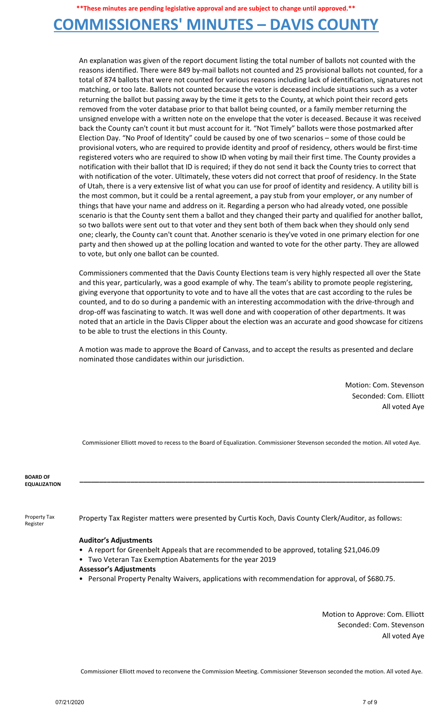### **COMMISSIONERS' MINUTES – DAVIS COUNTY**

An explanation was given of the report document listing the total number of ballots not counted with the reasons identified. There were 849 by-mail ballots not counted and 25 provisional ballots not counted, for a total of 874 ballots that were not counted for various reasons including lack of identification, signatures not matching, or too late. Ballots not counted because the voter is deceased include situations such as a voter returning the ballot but passing away by the time it gets to the County, at which point their record gets removed from the voter database prior to that ballot being counted, or a family member returning the unsigned envelope with a written note on the envelope that the voter is deceased. Because it was received back the County can't count it but must account for it. "Not Timely" ballots were those postmarked after Election Day. "No Proof of Identity" could be caused by one of two scenarios – some of those could be provisional voters, who are required to provide identity and proof of residency, others would be first-time registered voters who are required to show ID when voting by mail their first time. The County provides a notification with their ballot that ID is required; if they do not send it back the County tries to correct that with notification of the voter. Ultimately, these voters did not correct that proof of residency. In the State of Utah, there is a very extensive list of what you can use for proof of identity and residency. A utility bill is the most common, but it could be a rental agreement, a pay stub from your employer, or any number of things that have your name and address on it. Regarding a person who had already voted, one possible scenario is that the County sent them a ballot and they changed their party and qualified for another ballot, so two ballots were sent out to that voter and they sent both of them back when they should only send one; clearly, the County can't count that. Another scenario is they've voted in one primary election for one party and then showed up at the polling location and wanted to vote for the other party. They are allowed to vote, but only one ballot can be counted.

Commissioners commented that the Davis County Elections team is very highly respected all over the State and this year, particularly, was a good example of why. The team's ability to promote people registering, giving everyone that opportunity to vote and to have all the votes that are cast according to the rules be counted, and to do so during a pandemic with an interesting accommodation with the drive-through and drop-off was fascinating to watch. It was well done and with cooperation of other departments. It was noted that an article in the Davis Clipper about the election was an accurate and good showcase for citizens to be able to trust the elections in this County.

A motion was made to approve the Board of Canvass, and to accept the results as presented and declare nominated those candidates within our jurisdiction.

> Motion: Com. Stevenson Seconded: Com. Elliott All voted Aye

Commissioner Elliott moved to recess to the Board of Equalization. Commissioner Stevenson seconded the motion. All voted Aye.

**\_\_\_\_\_\_\_\_\_\_\_\_\_\_\_\_\_\_\_\_\_\_\_\_\_\_\_\_\_\_\_\_\_\_\_\_\_\_\_\_\_\_\_\_\_\_\_\_\_\_\_\_\_\_\_\_\_\_\_\_\_\_\_\_\_\_\_\_\_\_\_\_\_\_\_\_\_\_\_\_\_\_\_\_\_\_\_\_**

**BOARD OF EQUALIZATION**

Property Tax Register

Property Tax Register matters were presented by Curtis Koch, Davis County Clerk/Auditor, as follows:

### **Auditor's Adjustments**

- A report for Greenbelt Appeals that are recommended to be approved, totaling \$21,046.09
- Two Veteran Tax Exemption Abatements for the year 2019
- **Assessor's Adjustments**
- Personal Property Penalty Waivers, applications with recommendation for approval, of \$680.75.

Motion to Approve: Com. Elliott Seconded: Com. Stevenson All voted Aye

Commissioner Elliott moved to reconvene the Commission Meeting. Commissioner Stevenson seconded the motion. All voted Aye.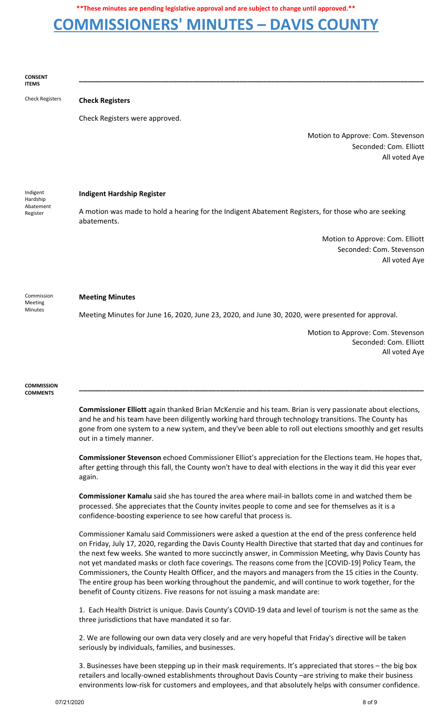### **COMMISSIONERS' MINUTES – DAVIS COUNTY**

**CONSENT ITEMS**

Check Registers **Check Registers**

Check Registers were approved.

Motion to Approve: Com. Stevenson Seconded: Com. Elliott All voted Aye

Indigent Hardship Abatement Register

#### **Indigent Hardship Register**

A motion was made to hold a hearing for the Indigent Abatement Registers, for those who are seeking abatements.

**\_\_\_\_\_\_\_\_\_\_\_\_\_\_\_\_\_\_\_\_\_\_\_\_\_\_\_\_\_\_\_\_\_\_\_\_\_\_\_\_\_\_\_\_\_\_\_\_\_\_\_\_\_\_\_\_\_\_\_\_\_\_\_\_\_\_\_\_\_\_\_\_\_\_\_\_\_\_\_\_\_\_\_\_\_\_\_\_**

Motion to Approve: Com. Elliott Seconded: Com. Stevenson All voted Aye

#### **Meeting Minutes**

Commission Meeting Minutes

Meeting Minutes for June 16, 2020, June 23, 2020, and June 30, 2020, were presented for approval.

Motion to Approve: Com. Stevenson Seconded: Com. Elliott All voted Aye

**COMMISSION COMMENTS**

> **Commissioner Elliott** again thanked Brian McKenzie and his team. Brian is very passionate about elections, and he and his team have been diligently working hard through technology transitions. The County has gone from one system to a new system, and they've been able to roll out elections smoothly and get results out in a timely manner.

> **\_\_\_\_\_\_\_\_\_\_\_\_\_\_\_\_\_\_\_\_\_\_\_\_\_\_\_\_\_\_\_\_\_\_\_\_\_\_\_\_\_\_\_\_\_\_\_\_\_\_\_\_\_\_\_\_\_\_\_\_\_\_\_\_\_\_\_\_\_\_\_\_\_\_\_\_\_\_\_\_\_\_\_\_\_\_\_\_**

**Commissioner Stevenson** echoed Commissioner Elliot's appreciation for the Elections team. He hopes that, after getting through this fall, the County won't have to deal with elections in the way it did this year ever again.

**Commissioner Kamalu** said she has toured the area where mail-in ballots come in and watched them be processed. She appreciates that the County invites people to come and see for themselves as it is a confidence-boosting experience to see how careful that process is.

Commissioner Kamalu said Commissioners were asked a question at the end of the press conference held on Friday, July 17, 2020, regarding the Davis County Health Directive that started that day and continues for the next few weeks. She wanted to more succinctly answer, in Commission Meeting, why Davis County has not yet mandated masks or cloth face coverings. The reasons come from the [COVID-19] Policy Team, the Commissioners, the County Health Officer, and the mayors and managers from the 15 cities in the County. The entire group has been working throughout the pandemic, and will continue to work together, for the benefit of County citizens. Five reasons for not issuing a mask mandate are:

1. Each Health District is unique. Davis County's COVID-19 data and level of tourism is not the same as the three jurisdictions that have mandated it so far.

2. We are following our own data very closely and are very hopeful that Friday's directive will be taken seriously by individuals, families, and businesses.

3. Businesses have been stepping up in their mask requirements. It's appreciated that stores – the big box retailers and locally-owned establishments throughout Davis County –are striving to make their business environments low-risk for customers and employees, and that absolutely helps with consumer confidence.